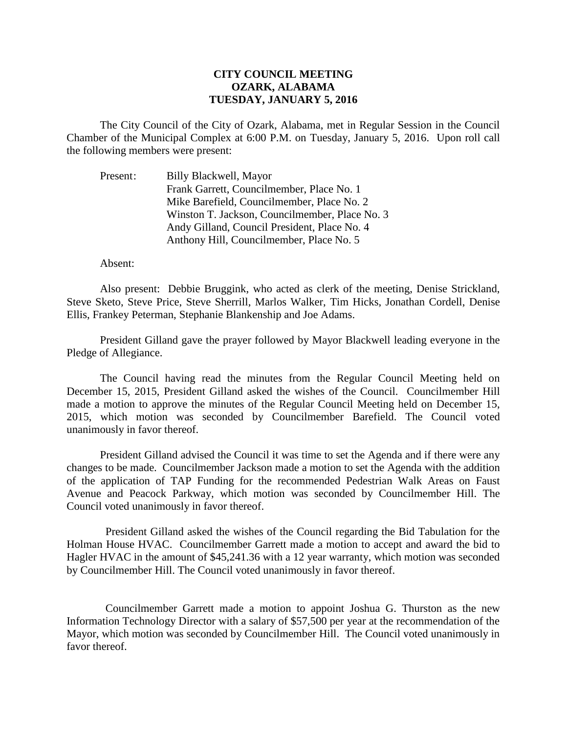## **CITY COUNCIL MEETING OZARK, ALABAMA TUESDAY, JANUARY 5, 2016**

The City Council of the City of Ozark, Alabama, met in Regular Session in the Council Chamber of the Municipal Complex at 6:00 P.M. on Tuesday, January 5, 2016. Upon roll call the following members were present:

Present: Billy Blackwell, Mayor Frank Garrett, Councilmember, Place No. 1 Mike Barefield, Councilmember, Place No. 2 Winston T. Jackson, Councilmember, Place No. 3 Andy Gilland, Council President, Place No. 4 Anthony Hill, Councilmember, Place No. 5

## Absent:

Also present: Debbie Bruggink, who acted as clerk of the meeting, Denise Strickland, Steve Sketo, Steve Price, Steve Sherrill, Marlos Walker, Tim Hicks, Jonathan Cordell, Denise Ellis, Frankey Peterman, Stephanie Blankenship and Joe Adams.

President Gilland gave the prayer followed by Mayor Blackwell leading everyone in the Pledge of Allegiance.

The Council having read the minutes from the Regular Council Meeting held on December 15, 2015, President Gilland asked the wishes of the Council. Councilmember Hill made a motion to approve the minutes of the Regular Council Meeting held on December 15, 2015, which motion was seconded by Councilmember Barefield. The Council voted unanimously in favor thereof.

President Gilland advised the Council it was time to set the Agenda and if there were any changes to be made. Councilmember Jackson made a motion to set the Agenda with the addition of the application of TAP Funding for the recommended Pedestrian Walk Areas on Faust Avenue and Peacock Parkway, which motion was seconded by Councilmember Hill. The Council voted unanimously in favor thereof.

 President Gilland asked the wishes of the Council regarding the Bid Tabulation for the Holman House HVAC. Councilmember Garrett made a motion to accept and award the bid to Hagler HVAC in the amount of \$45,241.36 with a 12 year warranty, which motion was seconded by Councilmember Hill. The Council voted unanimously in favor thereof.

 Councilmember Garrett made a motion to appoint Joshua G. Thurston as the new Information Technology Director with a salary of \$57,500 per year at the recommendation of the Mayor, which motion was seconded by Councilmember Hill. The Council voted unanimously in favor thereof.